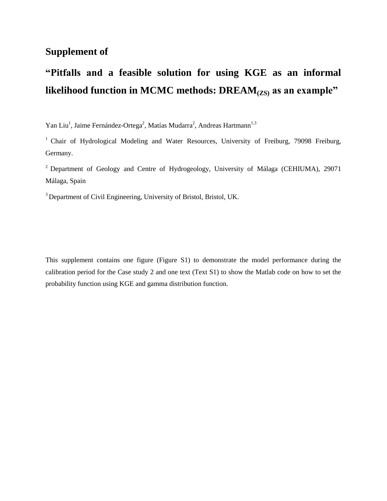## **Supplement of**

## **"Pitfalls and a feasible solution for using KGE as an informal likelihood function in MCMC methods: DREAM(ZS) as an example"**

Yan Liu<sup>1</sup>, Jaime Fern ández-Ortega<sup>2</sup>, Mat ás Mudarra<sup>2</sup>, Andreas Hartmann<sup>1,3</sup>

<sup>1</sup> Chair of Hydrological Modeling and Water Resources, University of Freiburg, 79098 Freiburg, Germany.

 $2$  Department of Geology and Centre of Hydrogeology, University of Málaga (CEHIUMA), 29071 Málaga, Spain

<sup>3</sup> Department of Civil Engineering, University of Bristol, Bristol, UK.

This supplement contains one figure (Figure S1) to demonstrate the model performance during the calibration period for the Case study 2 and one text (Text S1) to show the Matlab code on how to set the probability function using KGE and gamma distribution function.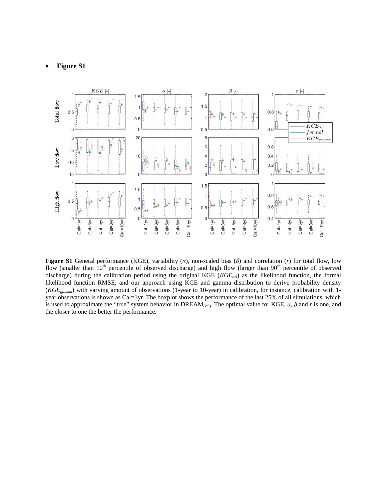## **Figure S1**



**Figure S1** General performance (KGE), variability (*α*), non-scaled bias (*β*) and correlation (*r*) for total flow, low flow (smaller than  $10<sup>th</sup>$  percentile of observed discharge) and high flow (larger than  $90<sup>th</sup>$  percentile of observed discharge) during the calibration period using the original KGE (*KGEori*) as the likelihood function, the formal likelihood function RMSE, and our approach using KGE and gamma distribution to derive probability density (*KGEgamma*) with varying amount of observations (1-year to 10-year) in calibration, for instance, calibration with 1 year observations is shown as Cal=1yr. The boxplot shows the performance of the last 25% of all simulations, which is used to approximate the "true" system behavior in DREAM<sub>(ZS)</sub>. The optimal value for KGE,  $\alpha$ ,  $\beta$  and  $r$  is one, and the closer to one the better the performance.